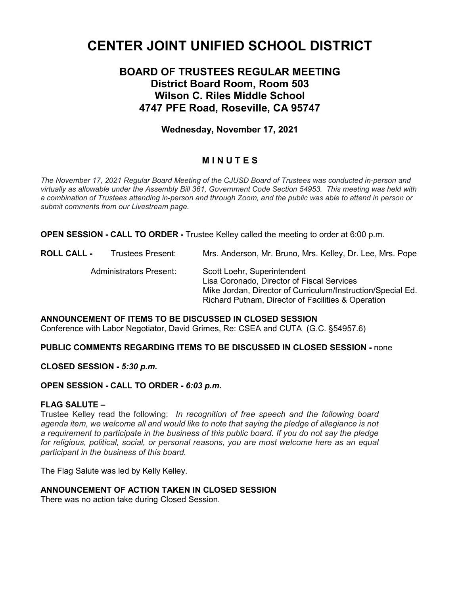# **CENTER JOINT UNIFIED SCHOOL DISTRICT**

# **BOARD OF TRUSTEES REGULAR MEETING District Board Room, Room 503 Wilson C. Riles Middle School 4747 PFE Road, Roseville, CA 95747**

# **Wednesday, November 17, 2021**

# **M I N U T E S**

*The November 17, 2021 Regular Board Meeting of the CJUSD Board of Trustees was conducted in-person and virtually as allowable under the Assembly Bill 361, Government Code Section 54953. This meeting was held with a combination of Trustees attending in-person and through Zoom, and the public was able to attend in person or submit comments from our Livestream page.*

**OPEN SESSION - CALL TO ORDER -** Trustee Kelley called the meeting to order at 6:00 p.m.

**ROLL CALL -** Trustees Present: Mrs. Anderson, Mr. Bruno*,* Mrs. Kelley, Dr. Lee, Mrs. Pope Administrators Present: Scott Loehr, Superintendent Lisa Coronado, Director of Fiscal Services Mike Jordan, Director of Curriculum/Instruction/Special Ed. Richard Putnam, Director of Facilities & Operation

**ANNOUNCEMENT OF ITEMS TO BE DISCUSSED IN CLOSED SESSION** Conference with Labor Negotiator, David Grimes, Re: CSEA and CUTA (G.C. §54957.6)

#### **PUBLIC COMMENTS REGARDING ITEMS TO BE DISCUSSED IN CLOSED SESSION -** none

**CLOSED SESSION -** *5:30 p.m.*

#### **OPEN SESSION - CALL TO ORDER -** *6:03 p.m.*

#### **FLAG SALUTE –**

Trustee Kelley read the following: *In recognition of free speech and the following board agenda item, we welcome all and would like to note that saying the pledge of allegiance is not a requirement to participate in the business of this public board. If you do not say the pledge for religious, political, social, or personal reasons, you are most welcome here as an equal participant in the business of this board.*

The Flag Salute was led by Kelly Kelley.

#### **ANNOUNCEMENT OF ACTION TAKEN IN CLOSED SESSION**

There was no action take during Closed Session.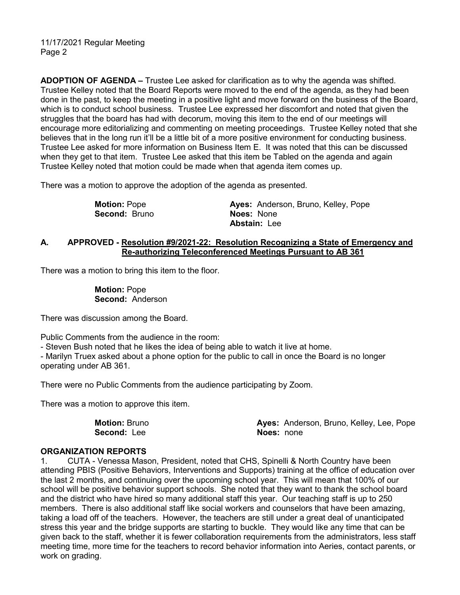**ADOPTION OF AGENDA –** Trustee Lee asked for clarification as to why the agenda was shifted. Trustee Kelley noted that the Board Reports were moved to the end of the agenda, as they had been done in the past, to keep the meeting in a positive light and move forward on the business of the Board, which is to conduct school business. Trustee Lee expressed her discomfort and noted that given the struggles that the board has had with decorum, moving this item to the end of our meetings will encourage more editorializing and commenting on meeting proceedings. Trustee Kelley noted that she believes that in the long run it'll be a little bit of a more positive environment for conducting business. Trustee Lee asked for more information on Business Item E. It was noted that this can be discussed when they get to that item. Trustee Lee asked that this item be Tabled on the agenda and again Trustee Kelley noted that motion could be made when that agenda item comes up.

There was a motion to approve the adoption of the agenda as presented.

 **Motion:** Pope **Ayes:** Anderson, Bruno, Kelley, Pope **Second: Bruno Abstain:** Lee

#### **A. APPROVED - Resolution #9/2021-22: Resolution Recognizing a State of Emergency and Re-authorizing Teleconferenced Meetings Pursuant to AB 361**

There was a motion to bring this item to the floor.

 **Motion:** Pope **Second:** Anderson

There was discussion among the Board.

Public Comments from the audience in the room:

- Steven Bush noted that he likes the idea of being able to watch it live at home.

- Marilyn Truex asked about a phone option for the public to call in once the Board is no longer operating under AB 361.

There were no Public Comments from the audience participating by Zoom.

There was a motion to approve this item.

 **Motion:** Bruno **Ayes:** Anderson, Bruno, Kelley, Lee, Pope **Second:** Lee **Noes:** none

#### **ORGANIZATION REPORTS**

1. CUTA - Venessa Mason, President, noted that CHS, Spinelli & North Country have been attending PBIS (Positive Behaviors, Interventions and Supports) training at the office of education over the last 2 months, and continuing over the upcoming school year. This will mean that 100% of our school will be positive behavior support schools. She noted that they want to thank the school board and the district who have hired so many additional staff this year. Our teaching staff is up to 250 members. There is also additional staff like social workers and counselors that have been amazing, taking a load off of the teachers. However, the teachers are still under a great deal of unanticipated stress this year and the bridge supports are starting to buckle. They would like any time that can be given back to the staff, whether it is fewer collaboration requirements from the administrators, less staff meeting time, more time for the teachers to record behavior information into Aeries, contact parents, or work on grading.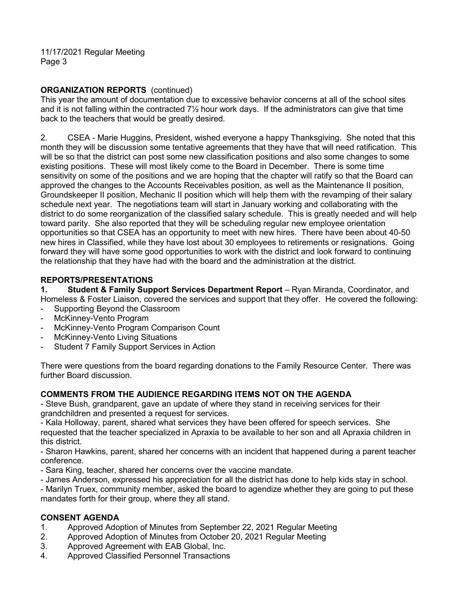## **ORGANIZATION REPORTS** (continued)

This year the amount of documentation due to excessive behavior concerns at all of the school sites and it is not falling within the contracted  $7\frac{1}{2}$  hour work days. If the administrators can give that time back to the teachers that would be greatly desired.

2. CSEA - Marie Huggins, President, wished everyone a happy Thanksgiving. She noted that this month they will be discussion some tentative agreements that they have that will need ratification. This will be so that the district can post some new classification positions and also some changes to some existing positions. These will most likely come to the Board in December. There is some time sensitivity on some of the positions and we are hoping that the chapter will ratify so that the Board can approved the changes to the Accounts Receivables position, as well as the Maintenance II position, Groundskeeper II position, Mechanic II position which will help them with the revamping of their salary schedule next year. The negotiations team will start in January working and collaborating with the district to do some reorganization of the classified salary schedule. This is greatly needed and will help toward parity. She also reported that they will be scheduling regular new employee orientation opportunities so that CSEA has an opportunity to meet with new hires. There have been about 40-50 new hires in Classified, while they have lost about 30 employees to retirements or resignations. Going forward they will have some good opportunities to work with the district and look forward to continuing the relationship that they have had with the board and the administration at the district.

#### **REPORTS/PRESENTATIONS**

**1. Student & Family Support Services Department Report** – Ryan Miranda, Coordinator, and Homeless & Foster Liaison, covered the services and support that they offer. He covered the following:

- Supporting Beyond the Classroom
- McKinney-Vento Program
- McKinney-Vento Program Comparison Count
- McKinney-Vento Living Situations
- Student 7 Family Support Services in Action

There were questions from the board regarding donations to the Family Resource Center. There was further Board discussion.

#### **COMMENTS FROM THE AUDIENCE REGARDING ITEMS NOT ON THE AGENDA**

- Steve Bush, grandparent, gave an update of where they stand in receiving services for their grandchildren and presented a request for services.

- Kala Holloway, parent, shared what services they have been offered for speech services. She requested that the teacher specialized in Apraxia to be available to her son and all Apraxia children in this district.

- Sharon Hawkins, parent, shared her concerns with an incident that happened during a parent teacher conference.

- Sara King, teacher, shared her concerns over the vaccine mandate.
- James Anderson, expressed his appreciation for all the district has done to help kids stay in school.

- Marilyn Truex, community member, asked the board to agendize whether they are going to put these mandates forth for their group, where they all stand.

#### **CONSENT AGENDA**

- 1. Approved Adoption of Minutes from September 22, 2021 Regular Meeting
- 2. Approved Adoption of Minutes from October 20, 2021 Regular Meeting
- 3. Approved Agreement with EAB Global, Inc.
- 4. Approved Classified Personnel Transactions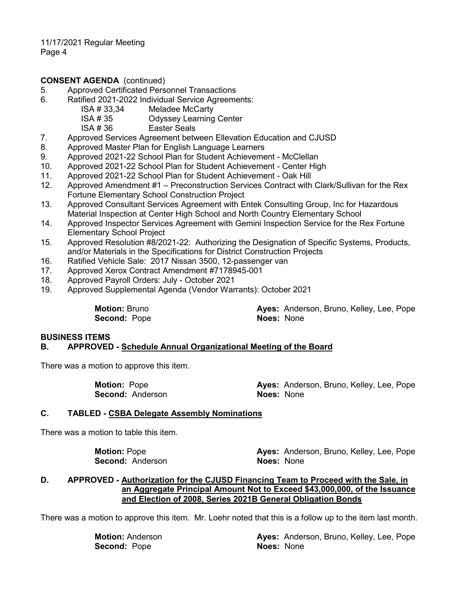#### **CONSENT AGENDA** (continued)

- 5. Approved Certificated Personnel Transactions
- 6. Ratified 2021-2022 Individual Service Agreements:

ISA # 33,34 Meladee McCarty<br>ISA # 35 Odvssev Learning

ISA # 35 Odyssey Learning Center<br>ISA # 36 Easter Seals

Easter Seals

- 7. Approved Services Agreement between Ellevation Education and CJUSD
- 8. Approved Master Plan for English Language Learners
- 9. Approved 2021-22 School Plan for Student Achievement McClellan
- 10. Approved 2021-22 School Plan for Student Achievement Center High
- 11. Approved 2021-22 School Plan for Student Achievement Oak Hill
- 12. Approved Amendment #1 Preconstruction Services Contract with Clark/Sullivan for the Rex Fortune Elementary School Construction Project
- 13. Approved Consultant Services Agreement with Entek Consulting Group, Inc for Hazardous Material Inspection at Center High School and North Country Elementary School
- 14. Approved Inspector Services Agreement with Gemini Inspection Service for the Rex Fortune Elementary School Project
- 15. Approved Resolution #8/2021-22: Authorizing the Designation of Specific Systems, Products, and/or Materials in the Specifications for District Construction Projects
- 16. Ratified Vehicle Sale: 2017 Nissan 3500, 12-passenger van
- 17. Approved Xerox Contract Amendment #7178945-001
- 18. Approved Payroll Orders: July October 2021
- 19. Approved Supplemental Agenda (Vendor Warrants): October 2021

**Second: Pope** 

**Motion:** Bruno **Ayes: Anderson, Bruno, Kelley, Lee, Pope**<br> **Ayes:** Anderson, Bruno, Kelley, Lee, Pope<br> **Noes:** None

#### **BUSINESS ITEMS B. APPROVED - Schedule Annual Organizational Meeting of the Board**

There was a motion to approve this item.

**Second: Anderson** 

**Motion:** Pope **Ayes:** Anderson, Bruno, Kelley, Lee, Pope **Second:** Anderson, None

#### **C. TABLED - CSBA Delegate Assembly Nominations**

There was a motion to table this item.

**Second: Anderson** 

**Motion:** Pope **Ayes:** Anderson, Bruno, Kelley, Lee, Pope **Second:** Anderson, Bruno, Kelley, Lee, Pope

#### **D. APPROVED - Authorization for the CJUSD Financing Team to Proceed with the Sale, in an Aggregate Principal Amount Not to Exceed \$43,000,000, of the Issuance and Election of 2008, Series 2021B General Obligation Bonds**

There was a motion to approve this item. Mr. Loehr noted that this is a follow up to the item last month.

**Second:** Pope **Noes:** Noes: None

**Motion:** Anderson **Ayes:** Anderson, Bruno, Kelley, Lee, Pope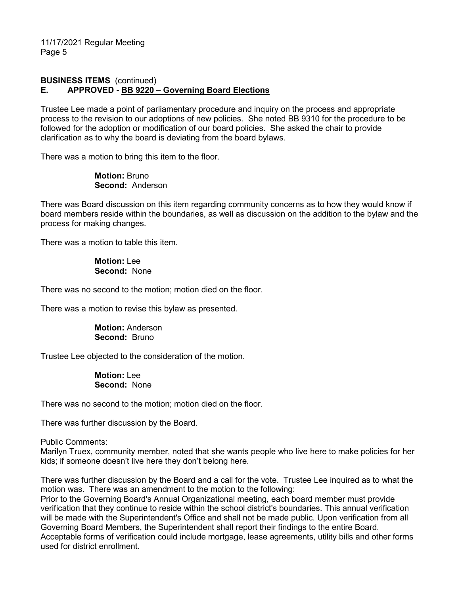## **BUSINESS ITEMS** (continued) **E. APPROVED - BB 9220 – Governing Board Elections**

Trustee Lee made a point of parliamentary procedure and inquiry on the process and appropriate process to the revision to our adoptions of new policies. She noted BB 9310 for the procedure to be followed for the adoption or modification of our board policies. She asked the chair to provide clarification as to why the board is deviating from the board bylaws.

There was a motion to bring this item to the floor.

 **Motion:** Bruno **Second:** Anderson

There was Board discussion on this item regarding community concerns as to how they would know if board members reside within the boundaries, as well as discussion on the addition to the bylaw and the process for making changes.

There was a motion to table this item.

 **Motion:** Lee **Second:** None

There was no second to the motion; motion died on the floor.

There was a motion to revise this bylaw as presented.

 **Motion:** Anderson **Second:** Bruno

Trustee Lee objected to the consideration of the motion.

 **Motion:** Lee **Second:** None

There was no second to the motion; motion died on the floor.

There was further discussion by the Board.

Public Comments:

Marilyn Truex, community member, noted that she wants people who live here to make policies for her kids; if someone doesn't live here they don't belong here.

There was further discussion by the Board and a call for the vote. Trustee Lee inquired as to what the motion was. There was an amendment to the motion to the following:

Prior to the Governing Board's Annual Organizational meeting, each board member must provide verification that they continue to reside within the school district's boundaries. This annual verification will be made with the Superintendent's Office and shall not be made public. Upon verification from all Governing Board Members, the Superintendent shall report their findings to the entire Board. Acceptable forms of verification could include mortgage, lease agreements, utility bills and other forms used for district enrollment.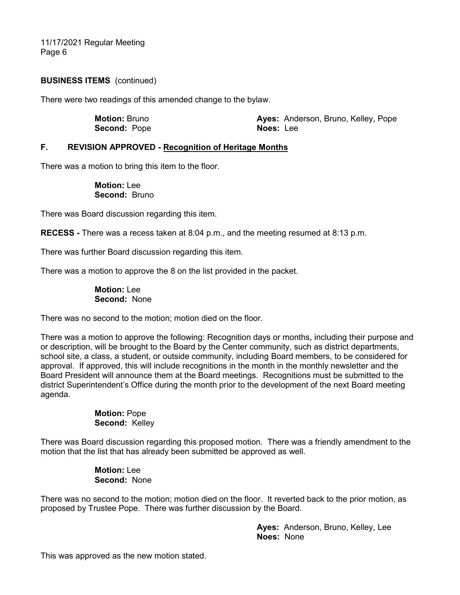#### **BUSINESS ITEMS** (continued)

There were two readings of this amended change to the bylaw.

 **Motion:** Bruno **Ayes:** Anderson, Bruno, Kelley, Pope **Second:** Pope **Noes:** Lee

#### **F. REVISION APPROVED - Recognition of Heritage Months**

There was a motion to bring this item to the floor.

 **Motion:** Lee **Second:** Bruno

There was Board discussion regarding this item.

**RECESS -** There was a recess taken at 8:04 p.m., and the meeting resumed at 8:13 p.m.

There was further Board discussion regarding this item.

There was a motion to approve the 8 on the list provided in the packet.

 **Motion:** Lee **Second:** None

There was no second to the motion; motion died on the floor.

There was a motion to approve the following: Recognition days or months, including their purpose and or description, will be brought to the Board by the Center community, such as district departments, school site, a class, a student, or outside community, including Board members, to be considered for approval. If approved, this will include recognitions in the month in the monthly newsletter and the Board President will announce them at the Board meetings. Recognitions must be submitted to the district Superintendent's Office during the month prior to the development of the next Board meeting agenda.

> **Motion:** Pope **Second:** Kelley

There was Board discussion regarding this proposed motion. There was a friendly amendment to the motion that the list that has already been submitted be approved as well.

> **Motion:** Lee **Second:** None

There was no second to the motion; motion died on the floor. It reverted back to the prior motion, as proposed by Trustee Pope. There was further discussion by the Board.

> **Ayes:** Anderson, Bruno, Kelley, Lee **Noes:** None

This was approved as the new motion stated.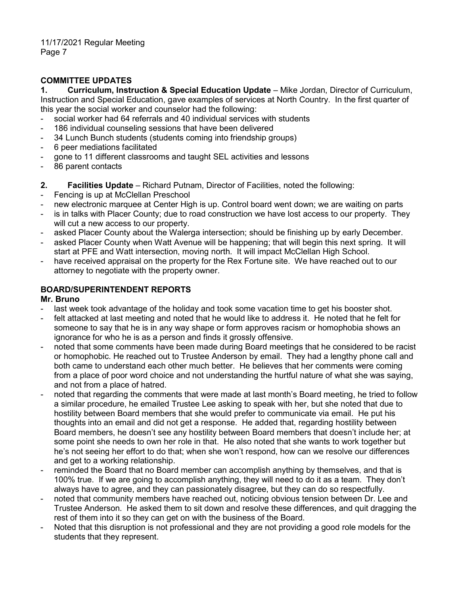## **COMMITTEE UPDATES**

**1. Curriculum, Instruction & Special Education Update** – Mike Jordan, Director of Curriculum, Instruction and Special Education, gave examples of services at North Country. In the first quarter of this year the social worker and counselor had the following:

- social worker had 64 referrals and 40 individual services with students
- 186 individual counseling sessions that have been delivered
- 34 Lunch Bunch students (students coming into friendship groups)
- 6 peer mediations facilitated
- gone to 11 different classrooms and taught SEL activities and lessons
- 86 parent contacts
- **2. Facilities Update**  Richard Putnam, Director of Facilities, noted the following:
- Fencing is up at McClellan Preschool
- new electronic marquee at Center High is up. Control board went down; we are waiting on parts
- is in talks with Placer County; due to road construction we have lost access to our property. They will cut a new access to our property.
- asked Placer County about the Walerga intersection; should be finishing up by early December.
- asked Placer County when Watt Avenue will be happening; that will begin this next spring. It will start at PFE and Watt intersection, moving north. It will impact McClellan High School.
- have received appraisal on the property for the Rex Fortune site. We have reached out to our attorney to negotiate with the property owner.

### **BOARD/SUPERINTENDENT REPORTS**

#### **Mr. Bruno**

- last week took advantage of the holiday and took some vacation time to get his booster shot.
- felt attacked at last meeting and noted that he would like to address it. He noted that he felt for someone to say that he is in any way shape or form approves racism or homophobia shows an ignorance for who he is as a person and finds it grossly offensive.
- noted that some comments have been made during Board meetings that he considered to be racist or homophobic. He reached out to Trustee Anderson by email. They had a lengthy phone call and both came to understand each other much better. He believes that her comments were coming from a place of poor word choice and not understanding the hurtful nature of what she was saying, and not from a place of hatred.
- noted that regarding the comments that were made at last month's Board meeting, he tried to follow a similar procedure, he emailed Trustee Lee asking to speak with her, but she noted that due to hostility between Board members that she would prefer to communicate via email. He put his thoughts into an email and did not get a response. He added that, regarding hostility between Board members, he doesn't see any hostility between Board members that doesn't include her; at some point she needs to own her role in that. He also noted that she wants to work together but he's not seeing her effort to do that; when she won't respond, how can we resolve our differences and get to a working relationship.
- reminded the Board that no Board member can accomplish anything by themselves, and that is 100% true. If we are going to accomplish anything, they will need to do it as a team. They don't always have to agree, and they can passionately disagree, but they can do so respectfully.
- noted that community members have reached out, noticing obvious tension between Dr. Lee and Trustee Anderson. He asked them to sit down and resolve these differences, and quit dragging the rest of them into it so they can get on with the business of the Board.
- Noted that this disruption is not professional and they are not providing a good role models for the students that they represent.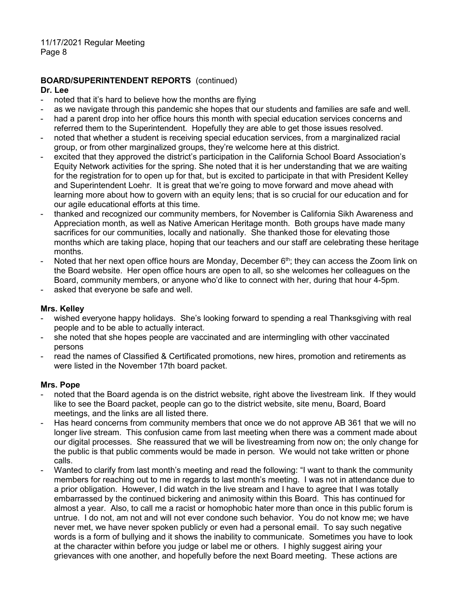# **BOARD/SUPERINTENDENT REPORTS** (continued)

#### **Dr. Lee**

- noted that it's hard to believe how the months are flying
- as we navigate through this pandemic she hopes that our students and families are safe and well.
- had a parent drop into her office hours this month with special education services concerns and referred them to the Superintendent. Hopefully they are able to get those issues resolved.
- noted that whether a student is receiving special education services, from a marginalized racial group, or from other marginalized groups, they're welcome here at this district.
- excited that they approved the district's participation in the California School Board Association's Equity Network activities for the spring. She noted that it is her understanding that we are waiting for the registration for to open up for that, but is excited to participate in that with President Kelley and Superintendent Loehr. It is great that we're going to move forward and move ahead with learning more about how to govern with an equity lens; that is so crucial for our education and for our agile educational efforts at this time.
- thanked and recognized our community members, for November is California Sikh Awareness and Appreciation month, as well as Native American Heritage month. Both groups have made many sacrifices for our communities, locally and nationally. She thanked those for elevating those months which are taking place, hoping that our teachers and our staff are celebrating these heritage months.
- Noted that her next open office hours are Monday, December  $6<sup>th</sup>$ ; they can access the Zoom link on the Board website. Her open office hours are open to all, so she welcomes her colleagues on the Board, community members, or anyone who'd like to connect with her, during that hour 4-5pm.
- asked that everyone be safe and well.

#### **Mrs. Kelley**

- wished everyone happy holidays. She's looking forward to spending a real Thanksgiving with real people and to be able to actually interact.
- she noted that she hopes people are vaccinated and are intermingling with other vaccinated persons
- read the names of Classified & Certificated promotions, new hires, promotion and retirements as were listed in the November 17th board packet.

#### **Mrs. Pope**

- noted that the Board agenda is on the district website, right above the livestream link. If they would like to see the Board packet, people can go to the district website, site menu, Board, Board meetings, and the links are all listed there.
- Has heard concerns from community members that once we do not approve AB 361 that we will no longer live stream. This confusion came from last meeting when there was a comment made about our digital processes. She reassured that we will be livestreaming from now on; the only change for the public is that public comments would be made in person. We would not take written or phone calls.
- Wanted to clarify from last month's meeting and read the following: "I want to thank the community members for reaching out to me in regards to last month's meeting. I was not in attendance due to a prior obligation. However, I did watch in the live stream and I have to agree that I was totally embarrassed by the continued bickering and animosity within this Board. This has continued for almost a year. Also, to call me a racist or homophobic hater more than once in this public forum is untrue. I do not, am not and will not ever condone such behavior. You do not know me; we have never met, we have never spoken publicly or even had a personal email. To say such negative words is a form of bullying and it shows the inability to communicate. Sometimes you have to look at the character within before you judge or label me or others. I highly suggest airing your grievances with one another, and hopefully before the next Board meeting. These actions are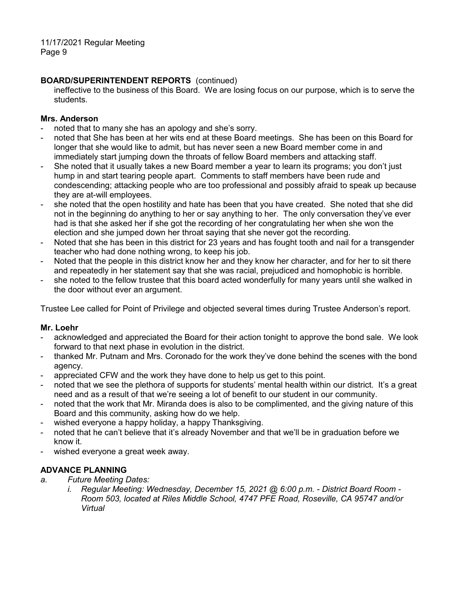# **BOARD/SUPERINTENDENT REPORTS** (continued)

ineffective to the business of this Board. We are losing focus on our purpose, which is to serve the students.

## **Mrs. Anderson**

- noted that to many she has an apology and she's sorry.
- noted that She has been at her wits end at these Board meetings. She has been on this Board for longer that she would like to admit, but has never seen a new Board member come in and immediately start jumping down the throats of fellow Board members and attacking staff.
- She noted that it usually takes a new Board member a year to learn its programs; you don't just hump in and start tearing people apart. Comments to staff members have been rude and condescending; attacking people who are too professional and possibly afraid to speak up because they are at-will employees.
- she noted that the open hostility and hate has been that you have created. She noted that she did not in the beginning do anything to her or say anything to her. The only conversation they've ever had is that she asked her if she got the recording of her congratulating her when she won the election and she jumped down her throat saying that she never got the recording.
- Noted that she has been in this district for 23 years and has fought tooth and nail for a transgender teacher who had done nothing wrong, to keep his job.
- Noted that the people in this district know her and they know her character, and for her to sit there and repeatedly in her statement say that she was racial, prejudiced and homophobic is horrible.
- she noted to the fellow trustee that this board acted wonderfully for many years until she walked in the door without ever an argument.

Trustee Lee called for Point of Privilege and objected several times during Trustee Anderson's report.

#### **Mr. Loehr**

- acknowledged and appreciated the Board for their action tonight to approve the bond sale. We look forward to that next phase in evolution in the district.
- thanked Mr. Putnam and Mrs. Coronado for the work they've done behind the scenes with the bond agency.
- appreciated CFW and the work they have done to help us get to this point.
- noted that we see the plethora of supports for students' mental health within our district. It's a great need and as a result of that we're seeing a lot of benefit to our student in our community.
- noted that the work that Mr. Miranda does is also to be complimented, and the giving nature of this Board and this community, asking how do we help.
- wished everyone a happy holiday, a happy Thanksgiving.
- noted that he can't believe that it's already November and that we'll be in graduation before we know it.
- wished everyone a great week away.

# **ADVANCE PLANNING**

- *a. Future Meeting Dates:*
	- *i. Regular Meeting: Wednesday, December 15, 2021 @ 6:00 p.m. - District Board Room - Room 503, located at Riles Middle School, 4747 PFE Road, Roseville, CA 95747 and/or Virtual*